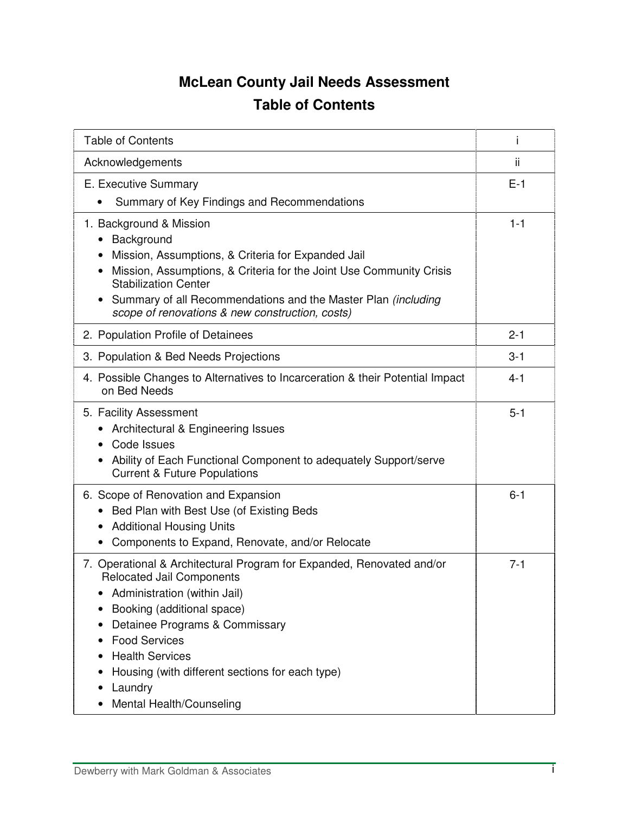## **McLean County Jail Needs Assessment Table of Contents**

| <b>Table of Contents</b>                                                                                                                                                                                                                                                                                                                                           | i       |
|--------------------------------------------------------------------------------------------------------------------------------------------------------------------------------------------------------------------------------------------------------------------------------------------------------------------------------------------------------------------|---------|
| Acknowledgements                                                                                                                                                                                                                                                                                                                                                   | ii.     |
| E. Executive Summary                                                                                                                                                                                                                                                                                                                                               | $E-1$   |
| Summary of Key Findings and Recommendations                                                                                                                                                                                                                                                                                                                        |         |
| 1. Background & Mission<br>Background<br>$\bullet$<br>Mission, Assumptions, & Criteria for Expanded Jail<br>$\bullet$<br>Mission, Assumptions, & Criteria for the Joint Use Community Crisis<br><b>Stabilization Center</b>                                                                                                                                        | $1 - 1$ |
| Summary of all Recommendations and the Master Plan (including<br>$\bullet$<br>scope of renovations & new construction, costs)                                                                                                                                                                                                                                      |         |
| 2. Population Profile of Detainees                                                                                                                                                                                                                                                                                                                                 | $2 - 1$ |
| 3. Population & Bed Needs Projections                                                                                                                                                                                                                                                                                                                              | $3 - 1$ |
| 4. Possible Changes to Alternatives to Incarceration & their Potential Impact<br>on Bed Needs                                                                                                                                                                                                                                                                      | 4-1     |
| 5. Facility Assessment<br>Architectural & Engineering Issues<br>Code Issues<br>Ability of Each Functional Component to adequately Support/serve<br>$\bullet$<br><b>Current &amp; Future Populations</b>                                                                                                                                                            | $5 - 1$ |
| 6. Scope of Renovation and Expansion<br>Bed Plan with Best Use (of Existing Beds<br><b>Additional Housing Units</b><br>$\bullet$<br>Components to Expand, Renovate, and/or Relocate<br>$\bullet$                                                                                                                                                                   | $6 - 1$ |
| 7. Operational & Architectural Program for Expanded, Renovated and/or<br><b>Relocated Jail Components</b><br>Administration (within Jail)<br>Booking (additional space)<br>Detainee Programs & Commissary<br><b>Food Services</b><br><b>Health Services</b><br>Housing (with different sections for each type)<br>Laundry<br>$\bullet$<br>Mental Health/Counseling | $7 - 1$ |